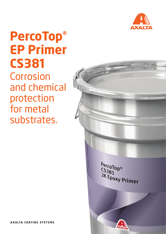

## **PercoTop® EP Primer CS381** Corrosion and chemical protection for metal substrates.

PercoTop®  $rac{1}{(5381)}$ 2K Epoxy Primer